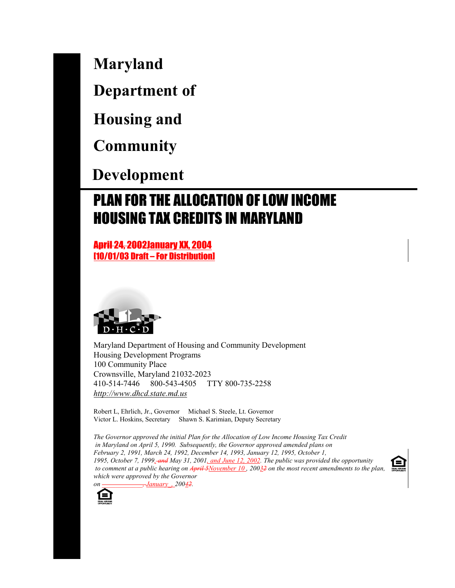**Maryland**

**Department of**

**Housing and**

**Community**

 **Development**

# PLAN FOR THE ALLOCATION OF LOW INCOME HOUSING TAX CREDITS IN MARYLAND

April 24, 2002January XX, 2004 [10/01/03 Draft – For Distribution]



Maryland Department of Housing and Community Development Housing Development Programs 100 Community Place Crownsville, Maryland 21032-2023 410-514-7446 800-543-4505 TTY 800-735-2258 *http://www.dhcd.state.md.us*

Robert L, Ehrlich, Jr., Governor Michael S. Steele, Lt. Governor Victor L. Hoskins, Secretary Shawn S. Karimian, Deputy Secretary

*The Governor approved the initial Plan for the Allocation of Low Income Housing Tax Credit in Maryland on April 5, 1990. Subsequently, the Governor approved amended plans on February 2, 1991, March 24, 1992, December 14, 1993, January 12, 1995, October 1, 1995, October 7, 1999, and May 31, 2001, and June 12, 2002. The public was provided the opportunity to comment at a public hearing on April 5November 10 , 20032 on the most recent amendments to the plan, which were approved by the Governor on \_\_\_\_\_\_\_\_\_\_\_\_, January\_, 20042.*

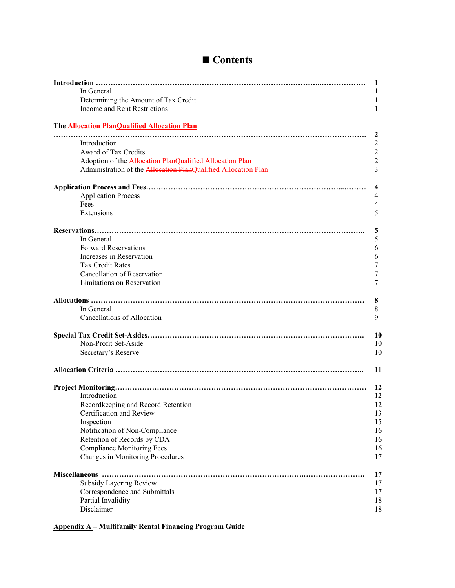| In General                                                     | 1<br>1          |
|----------------------------------------------------------------|-----------------|
| Determining the Amount of Tax Credit                           | 1               |
| Income and Rent Restrictions                                   | 1               |
| The <b>Allocation PlanQualified Allocation Plan</b>            |                 |
| Introduction                                                   | 2               |
| Award of Tax Credits                                           | 2<br>$\sqrt{2}$ |
| Adoption of the Allocation PlanQualified Allocation Plan       | $\overline{2}$  |
| Administration of the Allocation PlanQualified Allocation Plan | 3               |
|                                                                | 4               |
| <b>Application Process</b>                                     | 4               |
| Fees                                                           | 4               |
| Extensions                                                     | 5               |
|                                                                | 5               |
| In General                                                     | 5               |
| <b>Forward Reservations</b>                                    | 6               |
| Increases in Reservation                                       | 6               |
| <b>Tax Credit Rates</b>                                        | 7               |
| <b>Cancellation of Reservation</b>                             | 7               |
| Limitations on Reservation                                     | 7               |
|                                                                | 8               |
| In General                                                     | 8               |
| <b>Cancellations of Allocation</b>                             | 9               |
|                                                                | 10              |
| Non-Profit Set-Aside                                           | 10              |
| Secretary's Reserve                                            | 10              |
|                                                                | 11              |
|                                                                | 12              |
| Introduction                                                   | 12              |
| Recordkeeping and Record Retention                             | 12              |
| Certification and Review                                       | 13              |
| Inspection                                                     | 15              |
| Notification of Non-Compliance                                 | 16              |
| Retention of Records by CDA                                    | 16              |
| <b>Compliance Monitoring Fees</b>                              | 16              |
| Changes in Monitoring Procedures                               | 17              |
|                                                                | 17              |
| Subsidy Layering Review                                        | 17              |
| Correspondence and Submittals                                  | 17              |
| Partial Invalidity                                             | 18              |
| Disclaimer                                                     | 18              |

# ■ Contents

 $\overline{\phantom{a}}$ 

 $\overline{1}$ 

**Appendix A – Multifamily Rental Financing Program Guide**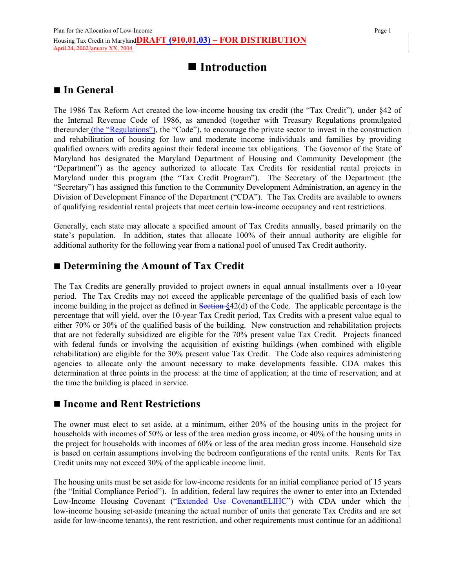# **Introduction**

## **In General**

The 1986 Tax Reform Act created the low-income housing tax credit (the "Tax Credit"), under §42 of the Internal Revenue Code of 1986, as amended (together with Treasury Regulations promulgated thereunder *(the "Regulations")*, the "Code"), to encourage the private sector to invest in the construction and rehabilitation of housing for low and moderate income individuals and families by providing qualified owners with credits against their federal income tax obligations. The Governor of the State of Maryland has designated the Maryland Department of Housing and Community Development (the "Department") as the agency authorized to allocate Tax Credits for residential rental projects in Maryland under this program (the "Tax Credit Program"). The Secretary of the Department (the "Secretary") has assigned this function to the Community Development Administration, an agency in the Division of Development Finance of the Department ("CDA"). The Tax Credits are available to owners of qualifying residential rental projects that meet certain low-income occupancy and rent restrictions.

Generally, each state may allocate a specified amount of Tax Credits annually, based primarily on the state's population. In addition, states that allocate 100% of their annual authority are eligible for additional authority for the following year from a national pool of unused Tax Credit authority.

### **Determining the Amount of Tax Credit**

The Tax Credits are generally provided to project owners in equal annual installments over a 10-year period. The Tax Credits may not exceed the applicable percentage of the qualified basis of each low income building in the project as defined in  $\frac{\text{Section }\$42(d)}{\text{ of the Code}}$ . The applicable percentage is the percentage that will yield, over the 10-year Tax Credit period, Tax Credits with a present value equal to either 70% or 30% of the qualified basis of the building. New construction and rehabilitation projects that are not federally subsidized are eligible for the 70% present value Tax Credit. Projects financed with federal funds or involving the acquisition of existing buildings (when combined with eligible rehabilitation) are eligible for the 30% present value Tax Credit. The Code also requires administering agencies to allocate only the amount necessary to make developments feasible. CDA makes this determination at three points in the process: at the time of application; at the time of reservation; and at the time the building is placed in service.

### **Income and Rent Restrictions**

The owner must elect to set aside, at a minimum, either 20% of the housing units in the project for households with incomes of 50% or less of the area median gross income, or 40% of the housing units in the project for households with incomes of 60% or less of the area median gross income. Household size is based on certain assumptions involving the bedroom configurations of the rental units. Rents for Tax Credit units may not exceed 30% of the applicable income limit.

The housing units must be set aside for low-income residents for an initial compliance period of 15 years (the "Initial Compliance Period"). In addition, federal law requires the owner to enter into an Extended Low-Income Housing Covenant ("Extended Use Covenant ELIHC") with CDA under which the low-income housing set-aside (meaning the actual number of units that generate Tax Credits and are set aside for low-income tenants), the rent restriction, and other requirements must continue for an additional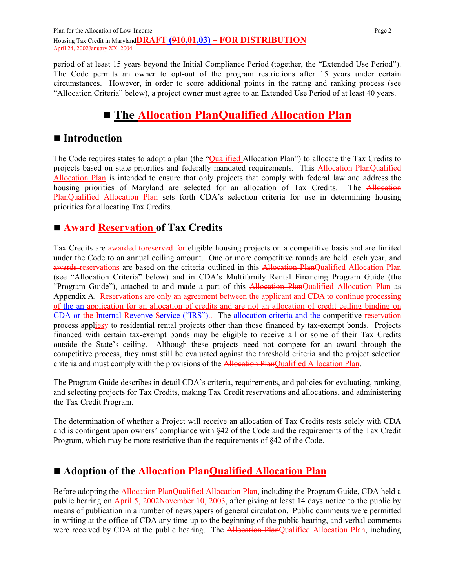period of at least 15 years beyond the Initial Compliance Period (together, the "Extended Use Period"). The Code permits an owner to opt-out of the program restrictions after 15 years under certain circumstances. However, in order to score additional points in the rating and ranking process (see "Allocation Criteria" below), a project owner must agree to an Extended Use Period of at least 40 years.

# **The Allocation PlanQualified Allocation Plan**

## ■ Introduction

The Code requires states to adopt a plan (the "Qualified Allocation Plan") to allocate the Tax Credits to projects based on state priorities and federally mandated requirements. This Allocation PlanQualified Allocation Plan is intended to ensure that only projects that comply with federal law and address the housing priorities of Maryland are selected for an allocation of Tax Credits. The Allocation PlanQualified Allocation Plan sets forth CDA's selection criteria for use in determining housing priorities for allocating Tax Credits.

# **Award Reservation of Tax Credits**

Tax Credits are awarded toreserved for eligible housing projects on a competitive basis and are limited under the Code to an annual ceiling amount. One or more competitive rounds are held each year, and awards reservations are based on the criteria outlined in this Allocation PlanQualified Allocation Plan (see "Allocation Criteria" below) and in CDA's Multifamily Rental Financing Program Guide (the "Program Guide"), attached to and made a part of this Allocation PlanQualified Allocation Plan as Appendix A. Reservations are only an agreement between the applicant and CDA to continue processing of the an application for an allocation of credits and are not an allocation of credit ceiling binding on CDA or the Internal Revenye Service ("IRS").. The allocation criteria and the competitive reservation process appliesy to residential rental projects other than those financed by tax-exempt bonds. Projects financed with certain tax-exempt bonds may be eligible to receive all or some of their Tax Credits outside the State's ceiling. Although these projects need not compete for an award through the competitive process, they must still be evaluated against the threshold criteria and the project selection criteria and must comply with the provisions of the Allocation PlanQualified Allocation Plan.

The Program Guide describes in detail CDA's criteria, requirements, and policies for evaluating, ranking, and selecting projects for Tax Credits, making Tax Credit reservations and allocations, and administering the Tax Credit Program.

The determination of whether a Project will receive an allocation of Tax Credits rests solely with CDA and is contingent upon owners' compliance with §42 of the Code and the requirements of the Tax Credit Program, which may be more restrictive than the requirements of §42 of the Code.

# **Adoption of the Allocation PlanQualified Allocation Plan**

Before adopting the Allocation PlanQualified Allocation Plan, including the Program Guide, CDA held a public hearing on April 5, 2002November 10, 2003, after giving at least 14 days notice to the public by means of publication in a number of newspapers of general circulation. Public comments were permitted in writing at the office of CDA any time up to the beginning of the public hearing, and verbal comments were received by CDA at the public hearing. The Allocation PlanQualified Allocation Plan, including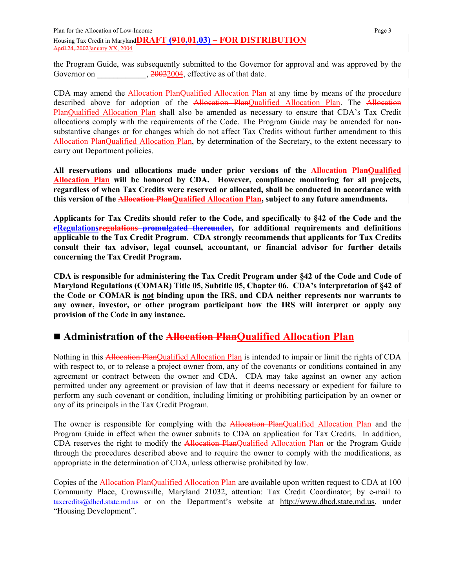Plan for the Allocation of Low-Income Page 3 Housing Tax Credit in Maryland**DRAFT (910.01.03) – FOR DISTRIBUTION** April 24, 2002January XX, 2004

the Program Guide, was subsequently submitted to the Governor for approval and was approved by the Governor on  $20022004$ , effective as of that date.  $, 20022004,$  effective as of that date.

CDA may amend the Allocation PlanQualified Allocation Plan at any time by means of the procedure described above for adoption of the **Allocation Plan**Qualified Allocation Plan. The Allocation PlanQualified Allocation Plan shall also be amended as necessary to ensure that CDA's Tax Credit allocations comply with the requirements of the Code. The Program Guide may be amended for nonsubstantive changes or for changes which do not affect Tax Credits without further amendment to this Allocation PlanQualified Allocation Plan, by determination of the Secretary, to the extent necessary to carry out Department policies.

**All reservations and allocations made under prior versions of the Allocation PlanQualified Allocation Plan will be honored by CDA. However, compliance monitoring for all projects, regardless of when Tax Credits were reserved or allocated, shall be conducted in accordance with this version of the Allocation PlanQualified Allocation Plan, subject to any future amendments.**

**Applicants for Tax Credits should refer to the Code, and specifically to §42 of the Code and the rRegulationsregulations promulgated thereunder, for additional requirements and definitions applicable to the Tax Credit Program. CDA strongly recommends that applicants for Tax Credits consult their tax advisor, legal counsel, accountant, or financial advisor for further details concerning the Tax Credit Program.**

**CDA is responsible for administering the Tax Credit Program under §42 of the Code and Code of Maryland Regulations (COMAR) Title 05, Subtitle 05, Chapter 06. CDA's interpretation of §42 of the Code or COMAR is not binding upon the IRS, and CDA neither represents nor warrants to any owner, investor, or other program participant how the IRS will interpret or apply any provision of the Code in any instance.**

# ■ Administration of the **Allocation Plan**Qualified Allocation Plan

Nothing in this Allocation PlanQualified Allocation Plan is intended to impair or limit the rights of CDA with respect to, or to release a project owner from, any of the covenants or conditions contained in any agreement or contract between the owner and CDA. CDA may take against an owner any action permitted under any agreement or provision of law that it deems necessary or expedient for failure to perform any such covenant or condition, including limiting or prohibiting participation by an owner or any of its principals in the Tax Credit Program.

The owner is responsible for complying with the **Allocation PlanQualified Allocation Plan** and the Program Guide in effect when the owner submits to CDA an application for Tax Credits. In addition, CDA reserves the right to modify the **Allocation PlanQualified Allocation Plan** or the Program Guide through the procedures described above and to require the owner to comply with the modifications, as appropriate in the determination of CDA, unless otherwise prohibited by law.

Copies of the Allocation PlanQualified Allocation Plan are available upon written request to CDA at 100 Community Place, Crownsville, Maryland 21032, attention: Tax Credit Coordinator; by e-mail to taxcredits@dhcd.state.md.us or on the Department's website at http://www.dhcd.state.md.us, under "Housing Development".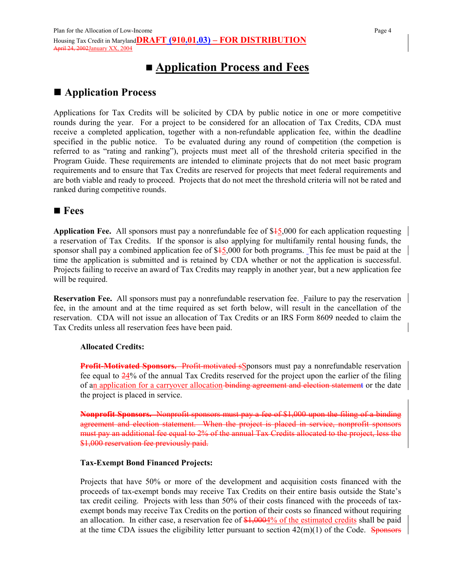# **Application Process and Fees**

## **Application Process**

Applications for Tax Credits will be solicited by CDA by public notice in one or more competitive rounds during the year. For a project to be considered for an allocation of Tax Credits, CDA must receive a completed application, together with a non-refundable application fee, within the deadline specified in the public notice. To be evaluated during any round of competition (the competion is referred to as "rating and ranking"), projects must meet all of the threshold criteria specified in the Program Guide. These requirements are intended to eliminate projects that do not meet basic program requirements and to ensure that Tax Credits are reserved for projects that meet federal requirements and are both viable and ready to proceed. Projects that do not meet the threshold criteria will not be rated and ranked during competitive rounds.

### **Fees**

**Application Fee.** All sponsors must pay a nonrefundable fee of \$15,000 for each application requesting a reservation of Tax Credits. If the sponsor is also applying for multifamily rental housing funds, the sponsor shall pay a combined application fee of \$45,000 for both programs. This fee must be paid at the time the application is submitted and is retained by CDA whether or not the application is successful. Projects failing to receive an award of Tax Credits may reapply in another year, but a new application fee will be required.

**Reservation Fee.** All sponsors must pay a nonrefundable reservation fee. Failure to pay the reservation fee, in the amount and at the time required as set forth below, will result in the cancellation of the reservation. CDA will not issue an allocation of Tax Credits or an IRS Form 8609 needed to claim the Tax Credits unless all reservation fees have been paid.

#### **Allocated Credits:**

**Profit-Motivated Sponsors.** Profit-motivated SS ponsors must pay a nonrefundable reservation fee equal to 24% of the annual Tax Credits reserved for the project upon the earlier of the filing of an application for a carryover allocation-binding agreement and election statement or the date the project is placed in service.

**Nonprofit Sponsors.** Nonprofit sponsors must pay a fee of \$1,000 upon the filing of a binding agreement and election statement. When the project is placed in service, nonprofit sponsors must pay an additional fee equal to 2% of the annual Tax Credits allocated to the project, less the \$1,000 reservation fee previously paid.

#### **Tax-Exempt Bond Financed Projects:**

Projects that have 50% or more of the development and acquisition costs financed with the proceeds of tax-exempt bonds may receive Tax Credits on their entire basis outside the State's tax credit ceiling. Projects with less than 50% of their costs financed with the proceeds of taxexempt bonds may receive Tax Credits on the portion of their costs so financed without requiring an allocation. In either case, a reservation fee of \$1,0004% of the estimated credits shall be paid at the time CDA issues the eligibility letter pursuant to section  $42(m)(1)$  of the Code. Sponsors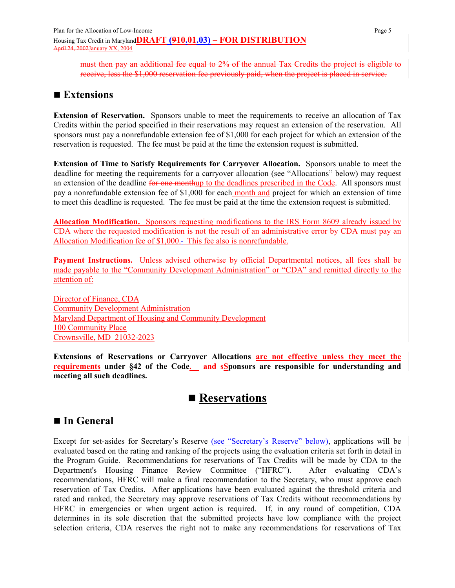must then pay an additional fee equal to 2% of the annual Tax Credits the project is eligible to receive, less the \$1,000 reservation fee previously paid, when the project is placed in service.

## ■ **Extensions**

**Extension of Reservation.** Sponsors unable to meet the requirements to receive an allocation of Tax Credits within the period specified in their reservations may request an extension of the reservation. All sponsors must pay a nonrefundable extension fee of \$1,000 for each project for which an extension of the reservation is requested. The fee must be paid at the time the extension request is submitted.

**Extension of Time to Satisfy Requirements for Carryover Allocation.** Sponsors unable to meet the deadline for meeting the requirements for a carryover allocation (see "Allocations" below) may request an extension of the deadline for one monthup to the deadlines prescribed in the Code. All sponsors must pay a nonrefundable extension fee of \$1,000 for each month and project for which an extension of time to meet this deadline is requested. The fee must be paid at the time the extension request is submitted.

**Allocation Modification.** Sponsors requesting modifications to the IRS Form 8609 already issued by CDA where the requested modification is not the result of an administrative error by CDA must pay an Allocation Modification fee of \$1,000.- This fee also is nonrefundable.

**Payment Instructions.** Unless advised otherwise by official Departmental notices, all fees shall be made payable to the "Community Development Administration" or "CDA" and remitted directly to the attention of:

Director of Finance, CDA Community Development Administration Maryland Department of Housing and Community Development 100 Community Place Crownsville, MD 21032-2023

**Extensions of Reservations or Carryover Allocations are not effective unless they meet the requirements** under §42 of the Code. **-and sSponsors are responsible for understanding and meeting all such deadlines.**

# ■ Reservations

## ■ In General

Except for set-asides for Secretary's Reserve (see "Secretary's Reserve" below), applications will be evaluated based on the rating and ranking of the projects using the evaluation criteria set forth in detail in the Program Guide. Recommendations for reservations of Tax Credits will be made by CDA to the Department's Housing Finance Review Committee ("HFRC"). After evaluating CDA's recommendations, HFRC will make a final recommendation to the Secretary, who must approve each reservation of Tax Credits. After applications have been evaluated against the threshold criteria and rated and ranked, the Secretary may approve reservations of Tax Credits without recommendations by HFRC in emergencies or when urgent action is required. If, in any round of competition, CDA determines in its sole discretion that the submitted projects have low compliance with the project selection criteria, CDA reserves the right not to make any recommendations for reservations of Tax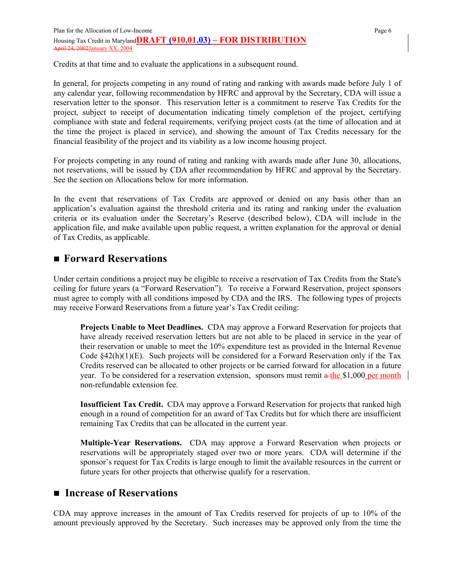Credits at that time and to evaluate the applications in a subsequent round.

In general, for projects competing in any round of rating and ranking with awards made before July 1 of any calendar year, following recommendation by HFRC and approval by the Secretary, CDA will issue a reservation letter to the sponsor. This reservation letter is a commitment to reserve Tax Credits for the project, subject to receipt of documentation indicating timely completion of the project, certifying compliance with state and federal requirements, verifying project costs (at the time of allocation and at the time the project is placed in service), and showing the amount of Tax Credits necessary for the financial feasibility of the project and its viability as a low income housing project.

For projects competing in any round of rating and ranking with awards made after June 30, allocations, not reservations, will be issued by CDA after recommendation by HFRC and approval by the Secretary. See the section on Allocations below for more information.

In the event that reservations of Tax Credits are approved or denied on any basis other than an application's evaluation against the threshold criteria and its rating and ranking under the evaluation criteria or its evaluation under the Secretary's Reserve (described below), CDA will include in the application file, and make available upon public request, a written explanation for the approval or denial of Tax Credits, as applicable.

## **Forward Reservations**

Under certain conditions a project may be eligible to receive a reservation of Tax Credits from the State's ceiling for future years (a "Forward Reservation"). To receive a Forward Reservation, project sponsors must agree to comply with all conditions imposed by CDA and the IRS. The following types of projects may receive Forward Reservations from a future year's Tax Credit ceiling:

**Projects Unable to Meet Deadlines.** CDA may approve a Forward Reservation for projects that have already received reservation letters but are not able to be placed in service in the year of their reservation or unable to meet the 10% expenditure test as provided in the Internal Revenue Code  $$42(h)(1)(E)$ . Such projects will be considered for a Forward Reservation only if the Tax Credits reserved can be allocated to other projects or be carried forward for allocation in a future year. To be considered for a reservation extension, sponsors must remit a the \$1,000 per month non-refundable extension fee.

**Insufficient Tax Credit.** CDA may approve a Forward Reservation for projects that ranked high enough in a round of competition for an award of Tax Credits but for which there are insufficient remaining Tax Credits that can be allocated in the current year.

**Multiple-Year Reservations.** CDA may approve a Forward Reservation when projects or reservations will be appropriately staged over two or more years. CDA will determine if the sponsor's request for Tax Credits is large enough to limit the available resources in the current or future years for other projects that otherwise qualify for a reservation.

### ■ Increase of Reservations

CDA may approve increases in the amount of Tax Credits reserved for projects of up to 10% of the amount previously approved by the Secretary. Such increases may be approved only from the time the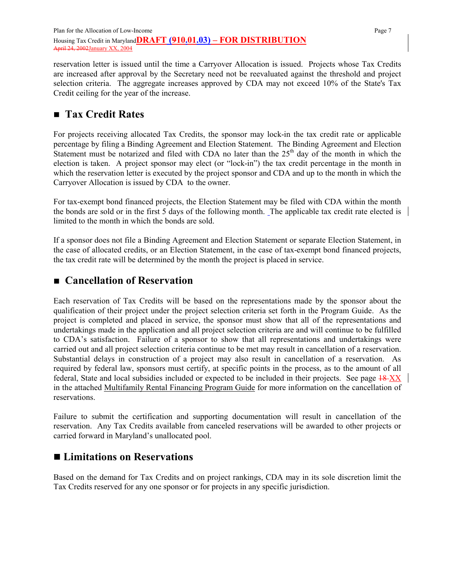reservation letter is issued until the time a Carryover Allocation is issued. Projects whose Tax Credits are increased after approval by the Secretary need not be reevaluated against the threshold and project selection criteria. The aggregate increases approved by CDA may not exceed 10% of the State's Tax Credit ceiling for the year of the increase.

# **Tax Credit Rates**

For projects receiving allocated Tax Credits, the sponsor may lock-in the tax credit rate or applicable percentage by filing a Binding Agreement and Election Statement. The Binding Agreement and Election Statement must be notarized and filed with CDA no later than the 25<sup>th</sup> day of the month in which the election is taken. A project sponsor may elect (or "lock-in") the tax credit percentage in the month in which the reservation letter is executed by the project sponsor and CDA and up to the month in which the Carryover Allocation is issued by CDA to the owner.

For tax-exempt bond financed projects, the Election Statement may be filed with CDA within the month the bonds are sold or in the first 5 days of the following month. The applicable tax credit rate elected is limited to the month in which the bonds are sold.

If a sponsor does not file a Binding Agreement and Election Statement or separate Election Statement, in the case of allocated credits, or an Election Statement, in the case of tax-exempt bond financed projects, the tax credit rate will be determined by the month the project is placed in service.

## **Cancellation of Reservation**

Each reservation of Tax Credits will be based on the representations made by the sponsor about the qualification of their project under the project selection criteria set forth in the Program Guide. As the project is completed and placed in service, the sponsor must show that all of the representations and undertakings made in the application and all project selection criteria are and will continue to be fulfilled to CDA's satisfaction. Failure of a sponsor to show that all representations and undertakings were carried out and all project selection criteria continue to be met may result in cancellation of a reservation. Substantial delays in construction of a project may also result in cancellation of a reservation. As required by federal law, sponsors must certify, at specific points in the process, as to the amount of all federal, State and local subsidies included or expected to be included in their projects. See page 18 XX in the attached Multifamily Rental Financing Program Guide for more information on the cancellation of reservations.

Failure to submit the certification and supporting documentation will result in cancellation of the reservation. Any Tax Credits available from canceled reservations will be awarded to other projects or carried forward in Maryland's unallocated pool.

## **Limitations on Reservations**

Based on the demand for Tax Credits and on project rankings, CDA may in its sole discretion limit the Tax Credits reserved for any one sponsor or for projects in any specific jurisdiction.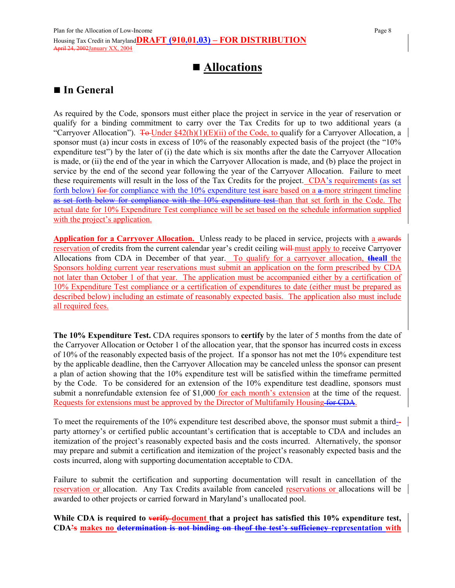# **Allocations**

## **In General**

As required by the Code, sponsors must either place the project in service in the year of reservation or qualify for a binding commitment to carry over the Tax Credits for up to two additional years (a "Carryover Allocation").  $\overline{4\Theta}$  Under §42(h)(1)(E)(ii) of the Code, to qualify for a Carryover Allocation, a sponsor must (a) incur costs in excess of 10% of the reasonably expected basis of the project (the "10% expenditure test") by the later of (i) the date which is six months after the date the Carryover Allocation is made, or (ii) the end of the year in which the Carryover Allocation is made, and (b) place the project in service by the end of the second year following the year of the Carryover Allocation. Failure to meet these requirements will result in the loss of the Tax Credits for the project. CDA's requirements (as set forth below) for for compliance with the  $10\%$  expenditure test is are based on a a more stringent timeline as set forth below for compliance with the 10% expenditure test than that set forth in the Code. The actual date for 10% Expenditure Test compliance will be set based on the schedule information supplied with the project's application.

**Application for a Carryover Allocation.** Unless ready to be placed in service, projects with a awards reservation of credits from the current calendar year's credit ceiling will must apply to receive Carryover Allocations from CDA in December of that year. To qualify for a carryover allocation, **theall** the Sponsors holding current year reservations must submit an application on the form prescribed by CDA not later than October 1 of that year. The application must be accompanied either by a certification of 10% Expenditure Test compliance or a certification of expenditures to date (either must be prepared as described below) including an estimate of reasonably expected basis. The application also must include all required fees.

**The 10% Expenditure Test.** CDA requires sponsors to **certify** by the later of 5 months from the date of the Carryover Allocation or October 1 of the allocation year, that the sponsor has incurred costs in excess of 10% of the reasonably expected basis of the project. If a sponsor has not met the 10% expenditure test by the applicable deadline, then the Carryover Allocation may be canceled unless the sponsor can present a plan of action showing that the 10% expenditure test will be satisfied within the timeframe permitted by the Code. To be considered for an extension of the 10% expenditure test deadline, sponsors must submit a nonrefundable extension fee of \$1,000 for each month's extension at the time of the request. Requests for extensions must be approved by the Director of Multifamily Housing for CDA.

To meet the requirements of the 10% expenditure test described above, the sponsor must submit a third- party attorney's or certified public accountant's certification that is acceptable to CDA and includes an itemization of the project's reasonably expected basis and the costs incurred. Alternatively, the sponsor may prepare and submit a certification and itemization of the project's reasonably expected basis and the costs incurred, along with supporting documentation acceptable to CDA.

Failure to submit the certification and supporting documentation will result in cancellation of the reservation or allocation. Any Tax Credits available from canceled reservations or allocations will be awarded to other projects or carried forward in Maryland's unallocated pool.

**While CDA is required to verify document that a project has satisfied this 10% expenditure test, CDA's makes no determination is not binding on theof the test's sufficiency representation with**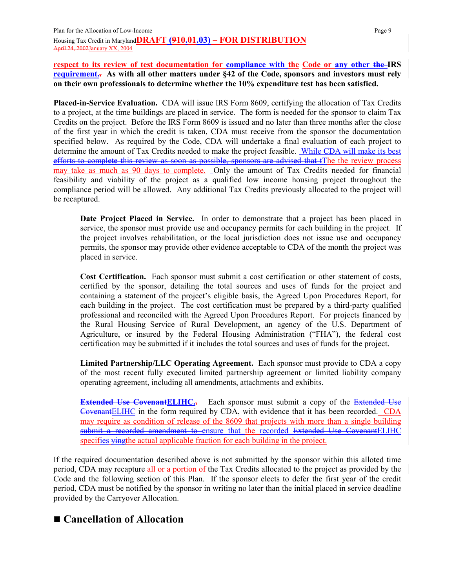**respect to its review of test documentation for compliance with the Code or any other the IRS requirement.. As with all other matters under §42 of the Code, sponsors and investors must rely on their own professionals to determine whether the 10% expenditure test has been satisfied.**

**Placed-in-Service Evaluation.** CDA will issue IRS Form 8609, certifying the allocation of Tax Credits to a project, at the time buildings are placed in service. The form is needed for the sponsor to claim Tax Credits on the project. Before the IRS Form 8609 is issued and no later than three months after the close of the first year in which the credit is taken, CDA must receive from the sponsor the documentation specified below. As required by the Code, CDA will undertake a final evaluation of each project to determine the amount of Tax Credits needed to make the project feasible. While CDA will make its best efforts to complete this review as soon as possible, sponsors are advised that tThe the review process may take as much as 90 days to complete. Only the amount of Tax Credits needed for financial feasibility and viability of the project as a qualified low income housing project throughout the compliance period will be allowed. Any additional Tax Credits previously allocated to the project will be recaptured.

**Date Project Placed in Service.** In order to demonstrate that a project has been placed in service, the sponsor must provide use and occupancy permits for each building in the project. If the project involves rehabilitation, or the local jurisdiction does not issue use and occupancy permits, the sponsor may provide other evidence acceptable to CDA of the month the project was placed in service.

**Cost Certification.** Each sponsor must submit a cost certification or other statement of costs, certified by the sponsor, detailing the total sources and uses of funds for the project and containing a statement of the project's eligible basis, the Agreed Upon Procedures Report, for each building in the project. The cost certification must be prepared by a third-party qualified professional and reconciled with the Agreed Upon Procedures Report. For projects financed by the Rural Housing Service of Rural Development, an agency of the U.S. Department of Agriculture, or insured by the Federal Housing Administration ("FHA"), the federal cost certification may be submitted if it includes the total sources and uses of funds for the project.

**Limited Partnership/LLC Operating Agreement.** Each sponsor must provide to CDA a copy of the most recent fully executed limited partnership agreement or limited liability company operating agreement, including all amendments, attachments and exhibits.

**Extended Use Covenant ELIHC..** Each sponsor must submit a copy of the Extended Use CovenantELIHC in the form required by CDA, with evidence that it has been recorded. CDA may require as condition of release of the 8609 that projects with more than a single building submit a recorded amendment to ensure that the recorded Extended Use CovenantELIHC specifies ying the actual applicable fraction for each building in the project.

If the required documentation described above is not submitted by the sponsor within this alloted time period, CDA may recapture all or a portion of the Tax Credits allocated to the project as provided by the Code and the following section of this Plan. If the sponsor elects to defer the first year of the credit period, CDA must be notified by the sponsor in writing no later than the initial placed in service deadline provided by the Carryover Allocation.

# **Cancellation of Allocation**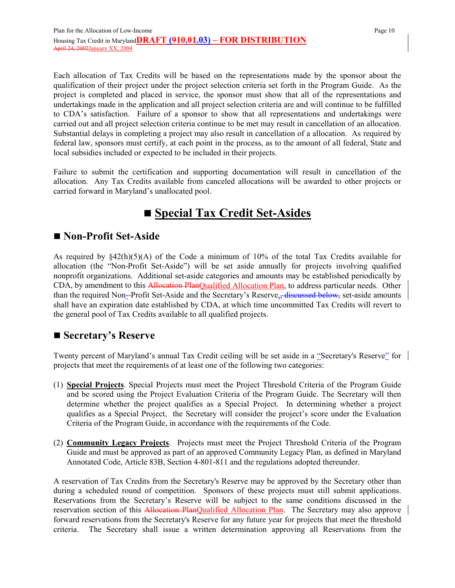Each allocation of Tax Credits will be based on the representations made by the sponsor about the qualification of their project under the project selection criteria set forth in the Program Guide. As the project is completed and placed in service, the sponsor must show that all of the representations and undertakings made in the application and all project selection criteria are and will continue to be fulfilled to CDA's satisfaction. Failure of a sponsor to show that all representations and undertakings were carried out and all project selection criteria continue to be met may result in cancellation of an allocation. Substantial delays in completing a project may also result in cancellation of a allocation. As required by federal law, sponsors must certify, at each point in the process, as to the amount of all federal, State and local subsidies included or expected to be included in their projects.

Failure to submit the certification and supporting documentation will result in cancellation of the allocation. Any Tax Credits available from canceled allocations will be awarded to other projects or carried forward in Maryland's unallocated pool.

# **Special Tax Credit Set-Asides**

# **Non-Profit Set-Aside**

As required by §42(h)(5)(A) of the Code a minimum of 10% of the total Tax Credits available for allocation (the "Non-Profit Set-Aside") will be set aside annually for projects involving qualified nonprofit organizations. Additional set-aside categories and amounts may be established periodically by CDA, by amendment to this Allocation PlanQualified Allocation Plan, to address particular needs. Other than the required Non--Profit Set-Aside and the Secretary's Reserve, discussed below, set-aside amounts shall have an expiration date established by CDA, at which time uncommitted Tax Credits will revert to the general pool of Tax Credits available to all qualified projects.

## ■ Secretary's Reserve

Twenty percent of Maryland's annual Tax Credit ceiling will be set aside in a "Secretary's Reserve" for projects that meet the requirements of at least one of the following two categories:

- (1) **Special Projects**. Special Projects must meet the Project Threshold Criteria of the Program Guide and be scored using the Project Evaluation Criteria of the Program Guide. The Secretary will then determine whether the project qualifies as a Special Project. In determining whether a project qualifies as a Special Project, the Secretary will consider the project's score under the Evaluation Criteria of the Program Guide, in accordance with the requirements of the Code.
- (2) **Community Legacy Projects**. Projects must meet the Project Threshold Criteria of the Program Guide and must be approved as part of an approved Community Legacy Plan, as defined in Maryland Annotated Code, Article 83B, Section 4-801-811 and the regulations adopted thereunder.

A reservation of Tax Credits from the Secretary's Reserve may be approved by the Secretary other than during a scheduled round of competition. Sponsors of these projects must still submit applications. Reservations from the Secretary's Reserve will be subject to the same conditions discussed in the reservation section of this Allocation PlanQualified Allocation Plan. The Secretary may also approve forward reservations from the Secretary's Reserve for any future year for projects that meet the threshold criteria. The Secretary shall issue a written determination approving all Reservations from the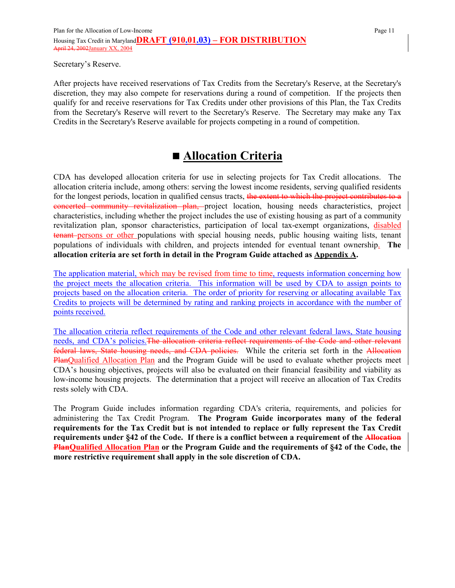Secretary's Reserve.

After projects have received reservations of Tax Credits from the Secretary's Reserve, at the Secretary's discretion, they may also compete for reservations during a round of competition. If the projects then qualify for and receive reservations for Tax Credits under other provisions of this Plan, the Tax Credits from the Secretary's Reserve will revert to the Secretary's Reserve. The Secretary may make any Tax Credits in the Secretary's Reserve available for projects competing in a round of competition.

# **Allocation Criteria**

CDA has developed allocation criteria for use in selecting projects for Tax Credit allocations. The allocation criteria include, among others: serving the lowest income residents, serving qualified residents for the longest periods, location in qualified census tracts, the extent to which the project contributes to a concerted community revitalization plan, project location, housing needs characteristics, project characteristics, including whether the project includes the use of existing housing as part of a community revitalization plan, sponsor characteristics, participation of local tax-exempt organizations, disabled tenant persons or other populations with special housing needs, public housing waiting lists, tenant populations of individuals with children, and projects intended for eventual tenant ownership. **The allocation criteria are set forth in detail in the Program Guide attached as Appendix A.**

The application material, which may be revised from time to time, requests information concerning how the project meets the allocation criteria. This information will be used by CDA to assign points to projects based on the allocation criteria. The order of priority for reserving or allocating available Tax Credits to projects will be determined by rating and ranking projects in accordance with the number of points received.

The allocation criteria reflect requirements of the Code and other relevant federal laws, State housing needs, and CDA's policies.The allocation criteria reflect requirements of the Code and other relevant federal laws, State housing needs, and CDA policies. While the criteria set forth in the Allocation PlanQualified Allocation Plan and the Program Guide will be used to evaluate whether projects meet CDA's housing objectives, projects will also be evaluated on their financial feasibility and viability as low-income housing projects. The determination that a project will receive an allocation of Tax Credits rests solely with CDA.

The Program Guide includes information regarding CDA's criteria, requirements, and policies for administering the Tax Credit Program. **The Program Guide incorporates many of the federal requirements for the Tax Credit but is not intended to replace or fully represent the Tax Credit requirements under §42 of the Code. If there is a conflict between a requirement of the Allocation PlanQualified Allocation Plan or the Program Guide and the requirements of §42 of the Code, the more restrictive requirement shall apply in the sole discretion of CDA.**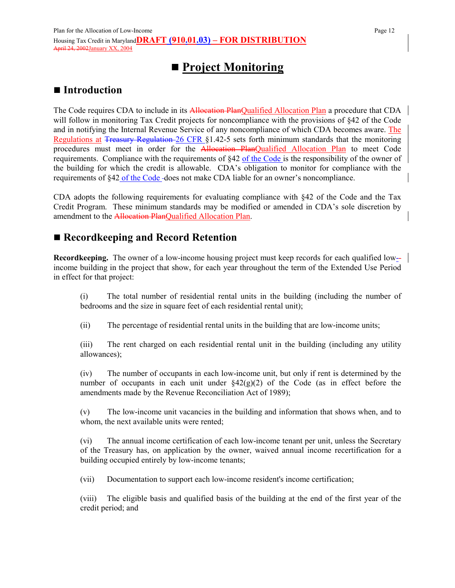# **Project Monitoring**

## ■ Introduction

The Code requires CDA to include in its Allocation PlanQualified Allocation Plan a procedure that CDA will follow in monitoring Tax Credit projects for noncompliance with the provisions of §42 of the Code and in notifying the Internal Revenue Service of any noncompliance of which CDA becomes aware. The Regulations at Treasury Regulation 26 CFR §1.42-5 sets forth minimum standards that the monitoring procedures must meet in order for the **Allocation PlanQualified Allocation Plan** to meet Code requirements. Compliance with the requirements of §42 of the Code is the responsibility of the owner of the building for which the credit is allowable. CDA's obligation to monitor for compliance with the requirements of §42 of the Code-does not make CDA liable for an owner's noncompliance.

CDA adopts the following requirements for evaluating compliance with §42 of the Code and the Tax Credit Program. These minimum standards may be modified or amended in CDA's sole discretion by amendment to the Allocation PlanQualified Allocation Plan.

## **Recordkeeping and Record Retention**

**Recordkeeping.** The owner of a low-income housing project must keep records for each qualified low-income building in the project that show, for each year throughout the term of the Extended Use Period in effect for that project:

(i) The total number of residential rental units in the building (including the number of bedrooms and the size in square feet of each residential rental unit);

(ii) The percentage of residential rental units in the building that are low-income units;

(iii) The rent charged on each residential rental unit in the building (including any utility allowances);

(iv) The number of occupants in each low-income unit, but only if rent is determined by the number of occupants in each unit under §42(g)(2) of the Code (as in effect before the amendments made by the Revenue Reconciliation Act of 1989);

(v) The low-income unit vacancies in the building and information that shows when, and to whom, the next available units were rented:

(vi) The annual income certification of each low-income tenant per unit, unless the Secretary of the Treasury has, on application by the owner, waived annual income recertification for a building occupied entirely by low-income tenants;

(vii) Documentation to support each low-income resident's income certification;

(viii) The eligible basis and qualified basis of the building at the end of the first year of the credit period; and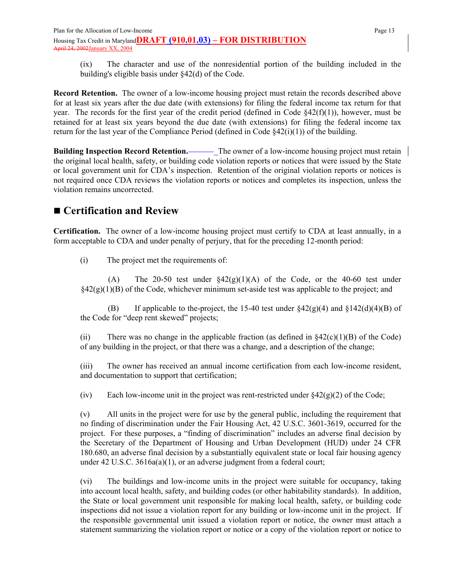(ix) The character and use of the nonresidential portion of the building included in the building's eligible basis under §42(d) of the Code.

**Record Retention.** The owner of a low-income housing project must retain the records described above for at least six years after the due date (with extensions) for filing the federal income tax return for that year. The records for the first year of the credit period (defined in Code  $\frac{842(f)(1)}{2}$ ), however, must be retained for at least six years beyond the due date (with extensions) for filing the federal income tax return for the last year of the Compliance Period (defined in Code  $(42(i)(1))$ ) of the building.

**Building Inspection Record Retention.** The owner of a low-income housing project must retain the original local health, safety, or building code violation reports or notices that were issued by the State or local government unit for CDA's inspection. Retention of the original violation reports or notices is not required once CDA reviews the violation reports or notices and completes its inspection, unless the violation remains uncorrected.

# **Certification and Review**

**Certification.** The owner of a low-income housing project must certify to CDA at least annually, in a form acceptable to CDA and under penalty of perjury, that for the preceding 12-month period:

(i) The project met the requirements of:

(A) The 20-50 test under  $\frac{20}{5}$ (1)(A) of the Code, or the 40-60 test under  $§42(g)(1)(B)$  of the Code, whichever minimum set-aside test was applicable to the project; and

(B) If applicable to the-project, the 15-40 test under  $\frac{842(g)(4)}{g}$  and  $\frac{8142(d)(4)(B)}{g}$  of the Code for "deep rent skewed" projects;

(ii) There was no change in the applicable fraction (as defined in  $\frac{242(c)(1)}{B}$ ) of the Code) of any building in the project, or that there was a change, and a description of the change;

(iii) The owner has received an annual income certification from each low-income resident, and documentation to support that certification;

(iv) Each low-income unit in the project was rent-restricted under  $\S 42(g)(2)$  of the Code;

(v) All units in the project were for use by the general public, including the requirement that no finding of discrimination under the Fair Housing Act, 42 U.S.C. 3601-3619, occurred for the project. For these purposes, a "finding of discrimination" includes an adverse final decision by the Secretary of the Department of Housing and Urban Development (HUD) under 24 CFR 180.680, an adverse final decision by a substantially equivalent state or local fair housing agency under 42 U.S.C. 3616a(a)(1), or an adverse judgment from a federal court;

(vi) The buildings and low-income units in the project were suitable for occupancy, taking into account local health, safety, and building codes (or other habitability standards). In addition, the State or local government unit responsible for making local health, safety, or building code inspections did not issue a violation report for any building or low-income unit in the project. If the responsible governmental unit issued a violation report or notice, the owner must attach a statement summarizing the violation report or notice or a copy of the violation report or notice to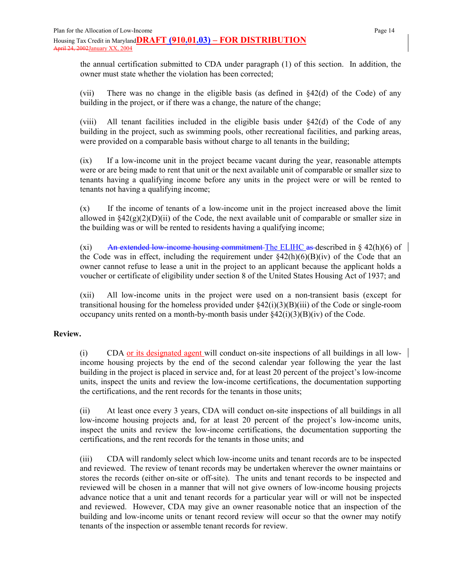the annual certification submitted to CDA under paragraph (1) of this section. In addition, the owner must state whether the violation has been corrected;

(vii) There was no change in the eligible basis (as defined in  $\S42(d)$  of the Code) of any building in the project, or if there was a change, the nature of the change;

(viii) All tenant facilities included in the eligible basis under  $\S42(d)$  of the Code of any building in the project, such as swimming pools, other recreational facilities, and parking areas, were provided on a comparable basis without charge to all tenants in the building;

(ix) If a low-income unit in the project became vacant during the year, reasonable attempts were or are being made to rent that unit or the next available unit of comparable or smaller size to tenants having a qualifying income before any units in the project were or will be rented to tenants not having a qualifying income;

(x) If the income of tenants of a low-income unit in the project increased above the limit allowed in  $\S42(g)(2)(D)(ii)$  of the Code, the next available unit of comparable or smaller size in the building was or will be rented to residents having a qualifying income;

(xi) An extended low-income housing commitment The ELIHC as described in  $\S$  42(h)(6) of the Code was in effect, including the requirement under  $\S42(h)(6)(B)(iv)$  of the Code that an owner cannot refuse to lease a unit in the project to an applicant because the applicant holds a voucher or certificate of eligibility under section 8 of the United States Housing Act of 1937; and

(xii) All low-income units in the project were used on a non-transient basis (except for transitional housing for the homeless provided under  $\frac{2(1)(3)}{B}$ (iii) of the Code or single-room occupancy units rented on a month-by-month basis under  $\S 42(i)(3)(B)(iv)$  of the Code.

#### **Review.**

(i) CDA or its designated agent will conduct on-site inspections of all buildings in all lowincome housing projects by the end of the second calendar year following the year the last building in the project is placed in service and, for at least 20 percent of the project's low-income units, inspect the units and review the low-income certifications, the documentation supporting the certifications, and the rent records for the tenants in those units;

(ii) At least once every 3 years, CDA will conduct on-site inspections of all buildings in all low-income housing projects and, for at least 20 percent of the project's low-income units, inspect the units and review the low-income certifications, the documentation supporting the certifications, and the rent records for the tenants in those units; and

(iii) CDA will randomly select which low-income units and tenant records are to be inspected and reviewed. The review of tenant records may be undertaken wherever the owner maintains or stores the records (either on-site or off-site). The units and tenant records to be inspected and reviewed will be chosen in a manner that will not give owners of low-income housing projects advance notice that a unit and tenant records for a particular year will or will not be inspected and reviewed. However, CDA may give an owner reasonable notice that an inspection of the building and low-income units or tenant record review will occur so that the owner may notify tenants of the inspection or assemble tenant records for review.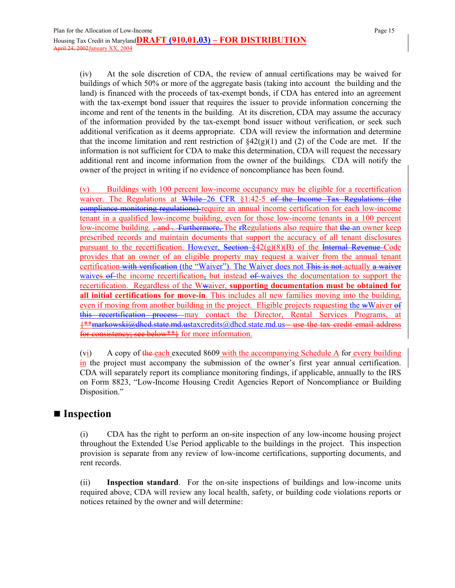(iv) At the sole discretion of CDA, the review of annual certifications may be waived for buildings of which 50% or more of the aggregate basis (taking into account the building and the land) is financed with the proceeds of tax-exempt bonds, if CDA has entered into an agreement with the tax-exempt bond issuer that requires the issuer to provide information concerning the income and rent of the tenents in the building. At its discretion, CDA may assume the accuracy of the information provided by the tax-exempt bond issuer without verification, or seek such additional verification as it deems appropriate. CDA will review the information and determine that the income limitation and rent restriction of  $\S42(g)(1)$  and (2) of the Code are met. If the information is not sufficient for CDA to make this determination, CDA will request the necessary additional rent and income information from the owner of the buildings. CDA will notify the owner of the project in writing if no evidence of noncompliance has been found.

(v) Buildings with 100 percent low-income occupancy may be eligible for a recertification waiver. The Regulations at While 26 CFR §1:42-5 of the Income Tax Regulations (the compliance monitoring regulations) require an annual income certification for each low-income tenant in a qualified low-income building, even for those low-income tenants in a 100 percent low-income building. <del>, and .. Furthermore, T</del>he rRegulations also require that the an owner keep prescribed records and maintain documents that support the accuracy of all tenant disclosures pursuant to the recertification. However, Section  $\frac{1}{2}(2)(8)(B)$  of the Internal Revenue Code provides that an owner of an eligible property may request a waiver from the annual tenant certification with verification (the "Waiver"). The Waiver does not This is not actually a waiver waives  $\theta$  f the income recertification, but instead  $\theta$  waives the documentation to support the recertification. Regardless of the Wwaiver, **supporting documentation must be obtained for all initial certifications for move-in**. This includes all new families moving into the building, even if moving from another building in the project. Eligible projects requesting the wWaiver of this recertification process may contact the Director, Rental Services Programs, at {\*\*markowski@dhcd.state.md.ustaxcredits@dhcd.state.md.us-- use the tax credit email address for consistency; see below\*\*} for more information.

(vi) A copy of the each executed 8609 with the accompanying Schedule A for every building in the project must accompany the submission of the owner's first year annual certification. CDA will separately report its compliance monitoring findings, if applicable, annually to the IRS on Form 8823, "Low-Income Housing Credit Agencies Report of Noncompliance or Building Disposition."

### ■ Inspection

(i) CDA has the right to perform an on-site inspection of any low-income housing project throughout the Extended Use Period applicable to the buildings in the project. This inspection provision is separate from any review of low-income certifications, supporting documents, and rent records.

(ii) **Inspection standard**. For the on-site inspections of buildings and low-income units required above, CDA will review any local health, safety, or building code violations reports or notices retained by the owner and will determine: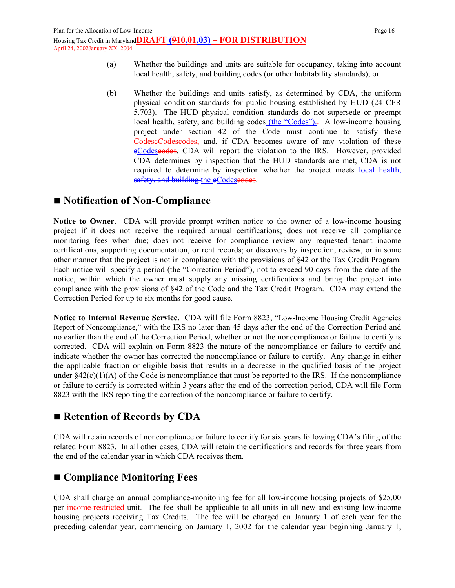- (a) Whether the buildings and units are suitable for occupancy, taking into account local health, safety, and building codes (or other habitability standards); or
- (b) Whether the buildings and units satisfy, as determined by CDA, the uniform physical condition standards for public housing established by HUD (24 CFR 5.703). The HUD physical condition standards do not supersede or preempt local health, safety, and building codes (the "Codes"). A low-income housing project under section 42 of the Code must continue to satisfy these CodeseCodescodes, and, if CDA becomes aware of any violation of these eCodeseodes, CDA will report the violation to the IRS. However, provided CDA determines by inspection that the HUD standards are met, CDA is not required to determine by inspection whether the project meets local health, safety, and building the eCodescodes.

## ■ Notification of Non-Compliance

**Notice to Owner.** CDA will provide prompt written notice to the owner of a low-income housing project if it does not receive the required annual certifications; does not receive all compliance monitoring fees when due; does not receive for compliance review any requested tenant income certifications, supporting documentation, or rent records; or discovers by inspection, review, or in some other manner that the project is not in compliance with the provisions of §42 or the Tax Credit Program. Each notice will specify a period (the "Correction Period"), not to exceed 90 days from the date of the notice, within which the owner must supply any missing certifications and bring the project into compliance with the provisions of §42 of the Code and the Tax Credit Program. CDA may extend the Correction Period for up to six months for good cause.

**Notice to Internal Revenue Service.** CDA will file Form 8823, "Low-Income Housing Credit Agencies Report of Noncompliance," with the IRS no later than 45 days after the end of the Correction Period and no earlier than the end of the Correction Period, whether or not the noncompliance or failure to certify is corrected. CDA will explain on Form 8823 the nature of the noncompliance or failure to certify and indicate whether the owner has corrected the noncompliance or failure to certify. Any change in either the applicable fraction or eligible basis that results in a decrease in the qualified basis of the project under  $§42(c)(1)(A)$  of the Code is noncompliance that must be reported to the IRS. If the noncompliance or failure to certify is corrected within 3 years after the end of the correction period, CDA will file Form 8823 with the IRS reporting the correction of the noncompliance or failure to certify.

## ■ Retention of Records by CDA

CDA will retain records of noncompliance or failure to certify for six years following CDA's filing of the related Form 8823. In all other cases, CDA will retain the certifications and records for three years from the end of the calendar year in which CDA receives them.

# **Compliance Monitoring Fees**

CDA shall charge an annual compliance-monitoring fee for all low-income housing projects of \$25.00 per income-restricted unit. The fee shall be applicable to all units in all new and existing low-income housing projects receiving Tax Credits. The fee will be charged on January 1 of each year for the preceding calendar year, commencing on January 1, 2002 for the calendar year beginning January 1,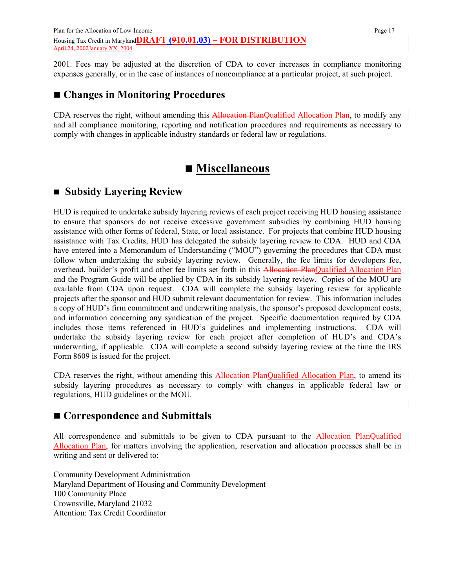2001. Fees may be adjusted at the discretion of CDA to cover increases in compliance monitoring expenses generally, or in the case of instances of noncompliance at a particular project, at such project.

# **Changes in Monitoring Procedures**

CDA reserves the right, without amending this Allocation PlanQualified Allocation Plan, to modify any and all compliance monitoring, reporting and notification procedures and requirements as necessary to comply with changes in applicable industry standards or federal law or regulations.

# **Miscellaneous**

## **Subsidy Layering Review**

HUD is required to undertake subsidy layering reviews of each project receiving HUD housing assistance to ensure that sponsors do not receive excessive government subsidies by combining HUD housing assistance with other forms of federal, State, or local assistance. For projects that combine HUD housing assistance with Tax Credits, HUD has delegated the subsidy layering review to CDA. HUD and CDA have entered into a Memorandum of Understanding ("MOU") governing the procedures that CDA must follow when undertaking the subsidy layering review. Generally, the fee limits for developers fee, overhead, builder's profit and other fee limits set forth in this Allocation PlanQualified Allocation Plan and the Program Guide will be applied by CDA in its subsidy layering review. Copies of the MOU are available from CDA upon request. CDA will complete the subsidy layering review for applicable projects after the sponsor and HUD submit relevant documentation for review. This information includes a copy of HUD's firm commitment and underwriting analysis, the sponsor's proposed development costs, and information concerning any syndication of the project. Specific documentation required by CDA includes those items referenced in HUD's guidelines and implementing instructions. CDA will undertake the subsidy layering review for each project after completion of HUD's and CDA's underwriting, if applicable. CDA will complete a second subsidy layering review at the time the IRS Form 8609 is issued for the project.

CDA reserves the right, without amending this Allocation PlanQualified Allocation Plan, to amend its subsidy layering procedures as necessary to comply with changes in applicable federal law or regulations, HUD guidelines or the MOU.

## ■ Correspondence and Submittals

All correspondence and submittals to be given to CDA pursuant to the Allocation PlanQualified Allocation Plan, for matters involving the application, reservation and allocation processes shall be in writing and sent or delivered to:

Community Development Administration Maryland Department of Housing and Community Development 100 Community Place Crownsville, Maryland 21032 Attention: Tax Credit Coordinator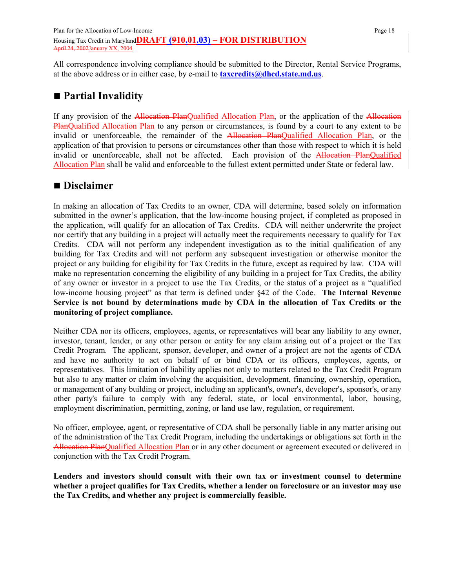All correspondence involving compliance should be submitted to the Director, Rental Service Programs, at the above address or in either case, by e-mail to **taxcredits@dhcd.state.md.us**.

# **Partial Invalidity**

If any provision of the Allocation PlanQualified Allocation Plan, or the application of the Allocation PlanQualified Allocation Plan to any person or circumstances, is found by a court to any extent to be invalid or unenforceable, the remainder of the Allocation PlanQualified Allocation Plan, or the application of that provision to persons or circumstances other than those with respect to which it is held invalid or unenforceable, shall not be affected. Each provision of the Allocation PlanQualified Allocation Plan shall be valid and enforceable to the fullest extent permitted under State or federal law.

## **Disclaimer**

In making an allocation of Tax Credits to an owner, CDA will determine, based solely on information submitted in the owner's application, that the low-income housing project, if completed as proposed in the application, will qualify for an allocation of Tax Credits. CDA will neither underwrite the project nor certify that any building in a project will actually meet the requirements necessary to qualify for Tax Credits. CDA will not perform any independent investigation as to the initial qualification of any building for Tax Credits and will not perform any subsequent investigation or otherwise monitor the project or any building for eligibility for Tax Credits in the future, except as required by law. CDA will make no representation concerning the eligibility of any building in a project for Tax Credits, the ability of any owner or investor in a project to use the Tax Credits, or the status of a project as a "qualified low-income housing project" as that term is defined under §42 of the Code. **The Internal Revenue Service is not bound by determinations made by CDA in the allocation of Tax Credits or the monitoring of project compliance.**

Neither CDA nor its officers, employees, agents, or representatives will bear any liability to any owner, investor, tenant, lender, or any other person or entity for any claim arising out of a project or the Tax Credit Program. The applicant, sponsor, developer, and owner of a project are not the agents of CDA and have no authority to act on behalf of or bind CDA or its officers, employees, agents, or representatives. This limitation of liability applies not only to matters related to the Tax Credit Program but also to any matter or claim involving the acquisition, development, financing, ownership, operation, or management of any building or project, including an applicant's, owner's, developer's, sponsor's, or any other party's failure to comply with any federal, state, or local environmental, labor, housing, employment discrimination, permitting, zoning, or land use law, regulation, or requirement.

No officer, employee, agent, or representative of CDA shall be personally liable in any matter arising out of the administration of the Tax Credit Program, including the undertakings or obligations set forth in the Allocation PlanQualified Allocation Plan or in any other document or agreement executed or delivered in conjunction with the Tax Credit Program.

**Lenders and investors should consult with their own tax or investment counsel to determine whether a project qualifies for Tax Credits, whether a lender on foreclosure or an investor may use the Tax Credits, and whether any project is commercially feasible.**